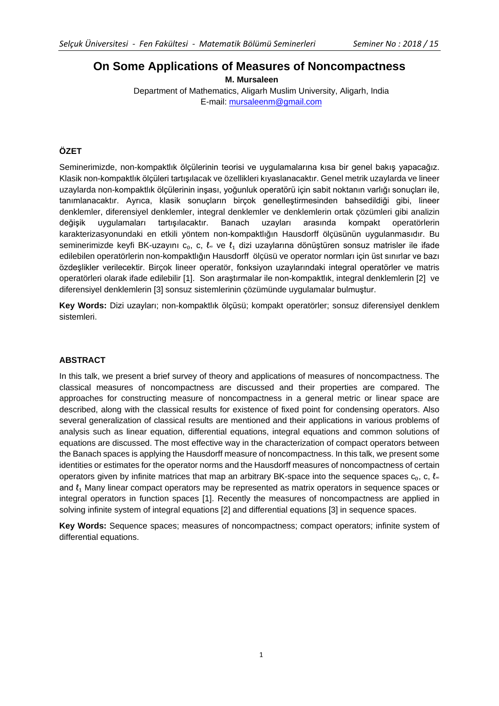# **On Some Applications of Measures of Noncompactness**

 **M. Mursaleen** Department of Mathematics, Aligarh Muslim University, Aligarh, India E-mail: [mursaleenm@gmail.com](mailto:mursaleenm@gmail.com)

### **ÖZET**

Seminerimizde, non-kompaktlık ölçülerinin teorisi ve uygulamalarına kısa bir genel bakış yapacağız. Klasik non-kompaktlık ölçüleri tartışılacak ve özellikleri kıyaslanacaktır. Genel metrik uzaylarda ve lineer uzaylarda non-kompaktlık ölçülerinin inşası, yoğunluk operatörü için sabit noktanın varlığı sonuçları ile, tanımlanacaktır. Ayrıca, klasik sonuçların birçok genelleştirmesinden bahsedildiği gibi, lineer denklemler, diferensiyel denklemler, integral denklemler ve denklemlerin ortak çözümleri gibi analizin değişik uygulamaları tartışılacaktır. Banach uzayları arasında kompakt operatörlerin karakterizasyonundaki en etkili yöntem non-kompaktlığın Hausdorff ölçüsünün uygulanmasıdır. Bu seminerimizde keyfi BK-uzayını c<sub>0</sub>, c, l. ve l<sub>1</sub> dizi uzaylarına dönüştüren sonsuz matrisler ile ifade edilebilen operatörlerin non-kompaktlığın Hausdorff ölçüsü ve operator normları için üst sınırlar ve bazı özdeşlikler verilecektir. Birçok lineer operatör, fonksiyon uzaylarındaki integral operatörler ve matris operatörleri olarak ifade edilebilir [1]. Son araştırmalar ile non-kompaktlık, integral denklemlerin [2] ve diferensiyel denklemlerin [3] sonsuz sistemlerinin çözümünde uygulamalar bulmuştur.

**Key Words:** Dizi uzayları; non-kompaktlık ölçüsü; kompakt operatörler; sonsuz diferensiyel denklem sistemleri.

#### **ABSTRACT**

In this talk, we present a brief survey of theory and applications of measures of noncompactness. The classical measures of noncompactness are discussed and their properties are compared. The approaches for constructing measure of noncompactness in a general metric or linear space are described, along with the classical results for existence of fixed point for condensing operators. Also several generalization of classical results are mentioned and their applications in various problems of analysis such as linear equation, differential equations, integral equations and common solutions of equations are discussed. The most effective way in the characterization of compact operators between the Banach spaces is applying the Hausdorff measure of noncompactness. In this talk, we present some identities or estimates for the operator norms and the Hausdorff measures of noncompactness of certain operators given by infinite matrices that map an arbitrary BK-space into the sequence spaces  $c_0$ , c,  $l_{\infty}$ and  $l_1$  Many linear compact operators may be represented as matrix operators in sequence spaces or integral operators in function spaces [1]. Recently the measures of noncompactness are applied in solving infinite system of integral equations [2] and differential equations [3] in sequence spaces.

**Key Words:** Sequence spaces; measures of noncompactness; compact operators; infinite system of differential equations.